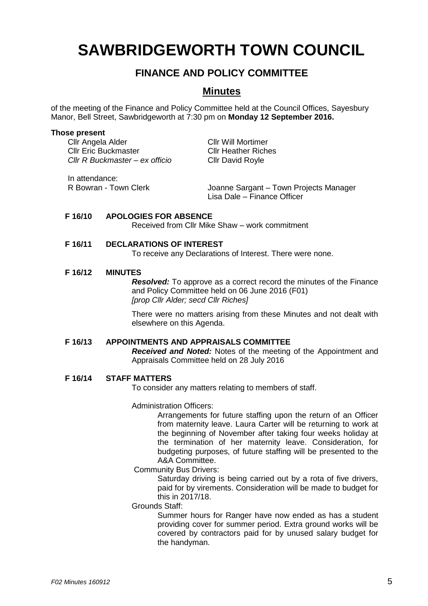# **SAWBRIDGEWORTH TOWN COUNCIL**

## **FINANCE AND POLICY COMMITTEE**

### **Minutes**

of the meeting of the Finance and Policy Committee held at the Council Offices, Sayesbury Manor, Bell Street, Sawbridgeworth at 7:30 pm on **Monday 12 September 2016.**

#### **Those present**

Cllr Angela Alder Cllr Will Mortimer Cllr Eric Buckmaster Cllr Heather Riches *Cllr R Buckmaster – ex officio* Cllr David Royle

In attendance:

R Bowran - Town Clerk Joanne Sargant – Town Projects Manager Lisa Dale – Finance Officer

#### **F 16/10 APOLOGIES FOR ABSENCE**

Received from Cllr Mike Shaw – work commitment

#### **F 16/11 DECLARATIONS OF INTEREST**

To receive any Declarations of Interest. There were none.

#### **F 16/12 MINUTES**

*Resolved:* To approve as a correct record the minutes of the Finance and Policy Committee held on 06 June 2016 (F01) *[prop Cllr Alder; secd Cllr Riches]*

There were no matters arising from these Minutes and not dealt with elsewhere on this Agenda.

#### **F 16/13 APPOINTMENTS AND APPRAISALS COMMITTEE**

*Received and Noted:* Notes of the meeting of the Appointment and Appraisals Committee held on 28 July 2016

#### **F 16/14 STAFF MATTERS**

To consider any matters relating to members of staff.

#### Administration Officers:

Arrangements for future staffing upon the return of an Officer from maternity leave. Laura Carter will be returning to work at the beginning of November after taking four weeks holiday at the termination of her maternity leave. Consideration, for budgeting purposes, of future staffing will be presented to the A&A Committee.

Community Bus Drivers:

Saturday driving is being carried out by a rota of five drivers, paid for by virements. Consideration will be made to budget for this in 2017/18.

#### Grounds Staff:

Summer hours for Ranger have now ended as has a student providing cover for summer period. Extra ground works will be covered by contractors paid for by unused salary budget for the handyman.